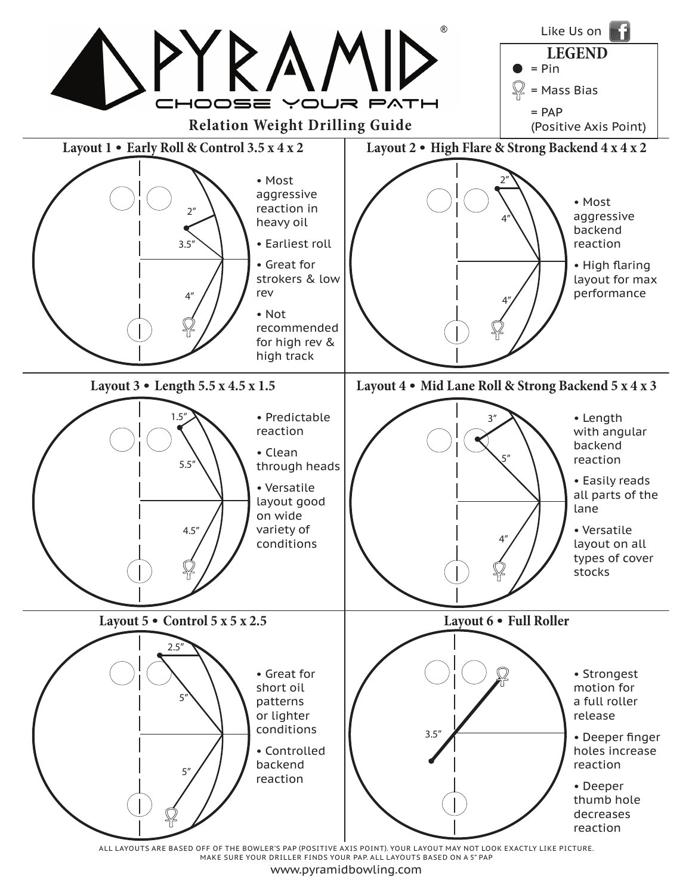